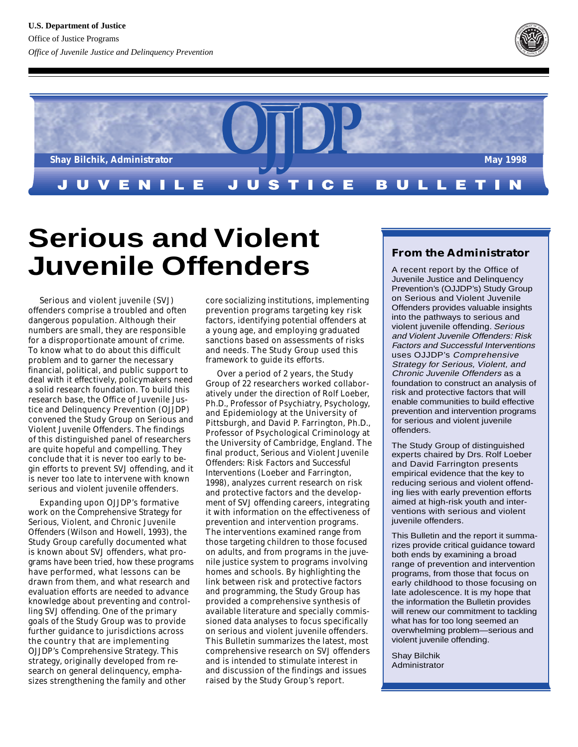



# **Serious and Violent Juvenile Offenders**

Serious and violent juvenile (SVJ) offenders comprise a troubled and often dangerous population. Although their numbers are small, they are responsible for a disproportionate amount of crime. To know what to do about this difficult problem and to garner the necessary financial, political, and public support to deal with it effectively, policymakers need a solid research foundation. To build this research base, the Office of Juvenile Justice and Delinquency Prevention (OJJDP) convened the Study Group on Serious and Violent Juvenile Offenders. The findings of this distinguished panel of researchers are quite hopeful and compelling. They conclude that it is never too early to begin efforts to prevent SVJ offending, and it is never too late to intervene with known serious and violent juvenile offenders.

Expanding upon OJJDP's formative work on the *Comprehensive Strategy for Serious, Violent, and Chronic Juvenile Offenders* (Wilson and Howell, 1993), the Study Group carefully documented what is known about SVJ offenders, what programs have been tried, how these programs have performed, what lessons can be drawn from them, and what research and evaluation efforts are needed to advance knowledge about preventing and controlling SVJ offending. One of the primary goals of the Study Group was to provide further guidance to jurisdictions across the country that are implementing OJJDP's Comprehensive Strategy. This strategy, originally developed from research on general delinquency, emphasizes strengthening the family and other

core socializing institutions, implementing prevention programs targeting key risk factors, identifying potential offenders at a young age, and employing graduated sanctions based on assessments of risks and needs. The Study Group used this framework to guide its efforts.

iterature and specially<br>ta analyses to focus spe<br>i and violent juvenile of<br>tin summarizes the late<br>nsive research on SVJ o Over a period of 2 years, the Study Group of 22 researchers worked collaboratively under the direction of Rolf Loeber, Ph.D., Professor of Psychiatry, Psychology, and Epidemiology at the University of Pittsburgh, and David P. Farrington, Ph.D., Professor of Psychological Criminology at the University of Cambridge, England. The final product, *Serious and Violent Juvenile Offenders: Risk Factors and Successful Interventions* (Loeber and Farrington, 1998), analyzes current research on risk and protective factors and the development of SVJ offending careers, integrating it with information on the effectiveness of prevention and intervention programs. The interventions examined range from those targeting children to those focused on adults, and from programs in the juvenile justice system to programs involving homes and schools. By highlighting the link between risk and protective factors and programming, the Study Group has provided a comprehensive synthesis of available literature and specially commissioned data analyses to focus specifically on serious and violent juvenile offenders. This Bulletin summarizes the latest, most comprehensive research on SVJ offenders and is intended to stimulate interest in and discussion of the findings and issues raised by the Study Group's report.

#### **From the Administrator**

A recent report by the Office of Juvenile Justice and Delinquency Prevention's (OJJDP's) Study Group on Serious and Violent Juvenile Offenders provides valuable insights into the pathways to serious and violent juvenile offending. Serious and Violent Juvenile Offenders: Risk Factors and Successful Interventions uses OJJDP's Comprehensive Strategy for Serious, Violent, and Chronic Juvenile Offenders as a foundation to construct an analysis of risk and protective factors that will enable communities to build effective prevention and intervention programs for serious and violent juvenile offenders.

The Study Group of distinguished experts chaired by Drs. Rolf Loeber and David Farrington presents empirical evidence that the key to reducing serious and violent offending lies with early prevention efforts aimed at high-risk youth and interventions with serious and violent juvenile offenders.

This Bulletin and the report it summarizes provide critical guidance toward both ends by examining a broad range of prevention and intervention programs, from those that focus on early childhood to those focusing on late adolescence. It is my hope that the information the Bulletin provides will renew our commitment to tackling what has for too long seemed an overwhelming problem—serious and violent juvenile offending.

Shay Bilchik Administrator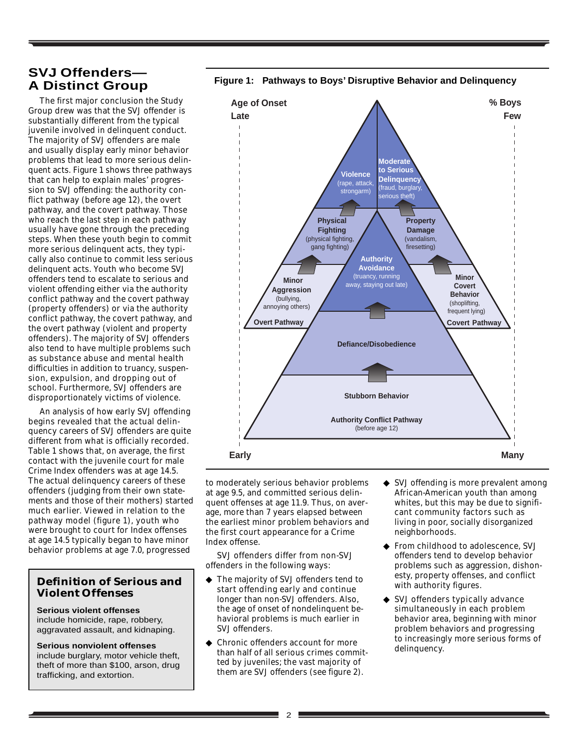#### **SVJ Offenders— A Distinct Group**

The first major conclusion the Study Group drew was that the SVJ offender is substantially different from the typical juvenile involved in delinquent conduct. The majority of SVJ offenders are male and usually display early minor behavior problems that lead to more serious delinquent acts. Figure 1 shows three pathways that can help to explain males' progression to SVJ offending: the authority conflict pathway (before age 12), the overt pathway, and the covert pathway. Those who reach the last step in each pathway usually have gone through the preceding steps. When these youth begin to commit more serious delinquent acts, they typically also continue to commit less serious delinquent acts. Youth who become SVJ offenders tend to escalate to serious and violent offending either via the authority conflict pathway and the covert pathway (property offenders) or via the authority conflict pathway, the covert pathway, and the overt pathway (violent and property offenders). The majority of SVJ offenders also tend to have multiple problems such as substance abuse and mental health difficulties in addition to truancy, suspension, expulsion, and dropping out of school. Furthermore, SVJ offenders are disproportionately victims of violence.

An analysis of how early SVJ offending begins revealed that the actual delinquency careers of SVJ offenders are quite different from what is officially recorded. Table 1 shows that, on average, the first contact with the juvenile court for male Crime Index offenders was at age 14.5. The actual delinquency careers of these offenders (judging from their own statements and those of their mothers) started much earlier. Viewed in relation to the pathway model (figure 1), youth who were brought to court for Index offenses at age 14.5 typically began to have minor behavior problems at age 7.0, progressed

#### **Definition of Serious and Violent Offenses**

**Serious violent offenses** include homicide, rape, robbery, aggravated assault, and kidnaping.

**Serious nonviolent offenses** include burglary, motor vehicle theft, theft of more than \$100, arson, drug trafficking, and extortion.



**Figure 1: Pathways to Boys' Disruptive Behavior and Delinquency**

to moderately serious behavior problems at age 9.5, and committed serious delinquent offenses at age 11.9. Thus, on average, more than 7 years elapsed between the earliest minor problem behaviors and the first court appearance for a Crime Index offense.

SVJ offenders differ from non-SVJ offenders in the following ways:

- ◆ The majority of SVJ offenders tend to start offending early and continue longer than non-SVJ offenders. Also, the age of onset of nondelinquent behavioral problems is much earlier in SVJ offenders.
- Chronic offenders account for more than half of all serious crimes committed by juveniles; the vast majority of them are SVJ offenders (see figure 2).
- ◆ SVJ offending is more prevalent among African-American youth than among whites, but this may be due to significant community factors such as living in poor, socially disorganized neighborhoods.
- ◆ From childhood to adolescence, SVJ offenders tend to develop behavior problems such as aggression, dishonesty, property offenses, and conflict with authority figures.
- ◆ SVJ offenders typically advance simultaneously in each problem behavior area, beginning with minor problem behaviors and progressing to increasingly more serious forms of delinquency.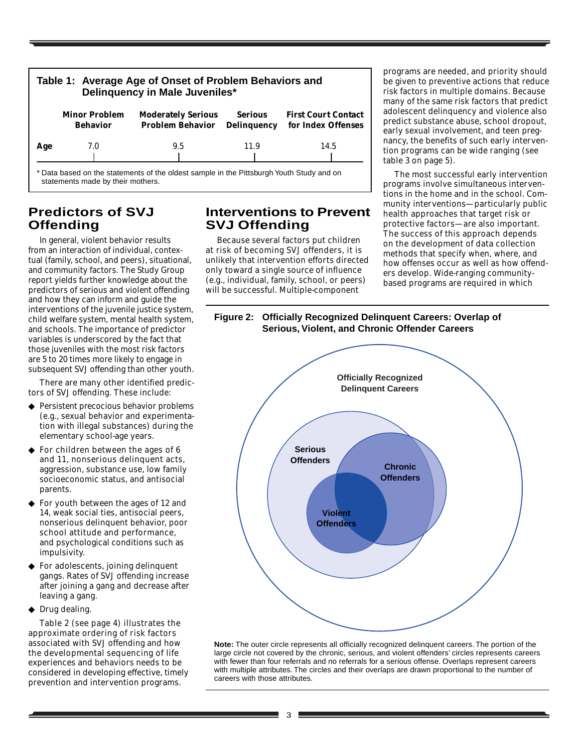| Table 1: Average Age of Onset of Problem Behaviors and<br>Delinquency in Male Juveniles* |                                         |                                                                                          |                                      |                                                  |  |  |
|------------------------------------------------------------------------------------------|-----------------------------------------|------------------------------------------------------------------------------------------|--------------------------------------|--------------------------------------------------|--|--|
|                                                                                          | <b>Minor Problem</b><br><b>Behavior</b> | <b>Moderately Serious</b><br><b>Problem Behavior</b>                                     | <b>Serious</b><br><b>Delinquency</b> | <b>First Court Contact</b><br>for Index Offenses |  |  |
| Age                                                                                      | 7.0                                     | 9.5                                                                                      | 11.9                                 | 14.5                                             |  |  |
|                                                                                          |                                         | * Data based on the statements of the oldest sample in the Pittsburgh Youth Study and on |                                      |                                                  |  |  |

statements made by their mothers.

### **Predictors of SVJ Offending**

In general, violent behavior results from an interaction of individual, contextual (family, school, and peers), situational, and community factors. The Study Group report yields further knowledge about the predictors of serious and violent offending and how they can inform and guide the interventions of the juvenile justice system, child welfare system, mental health system, and schools. The importance of predictor variables is underscored by the fact that those juveniles with the most risk factors are 5 to 20 times more likely to engage in subsequent SVJ offending than other youth.

There are many other identified predictors of SVJ offending. These include:

- Persistent precocious behavior problems (e.g., sexual behavior and experimentation with illegal substances) during the elementary school-age years.
- ◆ For children between the ages of 6 and 11, nonserious delinquent acts, aggression, substance use, low family socioeconomic status, and antisocial parents.
- For youth between the ages of 12 and 14, weak social ties, antisocial peers, nonserious delinquent behavior, poor school attitude and performance, and psychological conditions such as impulsivity.
- ◆ For adolescents, joining delinquent gangs. Rates of SVJ offending increase after joining a gang and decrease after leaving a gang.
- ◆ Drug dealing.

Table 2 (see page 4) illustrates the approximate ordering of risk factors associated with SVJ offending and how the developmental sequencing of life experiences and behaviors needs to be considered in developing effective, timely prevention and intervention programs.

#### **Interventions to Prevent SVJ Offending**

Because several factors put children at risk of becoming SVJ offenders, it is unlikely that intervention efforts directed only toward a single source of influence (e.g., individual, family, school, or peers) will be successful. Multiple-component

programs are needed, and priority should be given to preventive actions that reduce risk factors in multiple domains. Because many of the same risk factors that predict adolescent delinquency and violence also predict substance abuse, school dropout, early sexual involvement, and teen pregnancy, the benefits of such early intervention programs can be wide ranging (see table 3 on page 5).

The most successful early intervention programs involve simultaneous interventions in the home and in the school. Community interventions—particularly public health approaches that target risk or protective factors—are also important. The success of this approach depends on the development of data collection methods that specify when, where, and how offenses occur as well as how offenders develop. Wide-ranging communitybased programs are required in which



**Note:** The outer circle represents all officially recognized delinquent careers. The portion of the large circle not covered by the chronic, serious, and violent offenders' circles represents careers with fewer than four referrals and no referrals for a serious offense. Overlaps represent careers with multiple attributes. The circles and their overlaps are drawn proportional to the number of careers with those attributes.

#### **Figure 2: Officially Recognized Delinquent Careers: Overlap of Serious, Violent, and Chronic Offender Careers**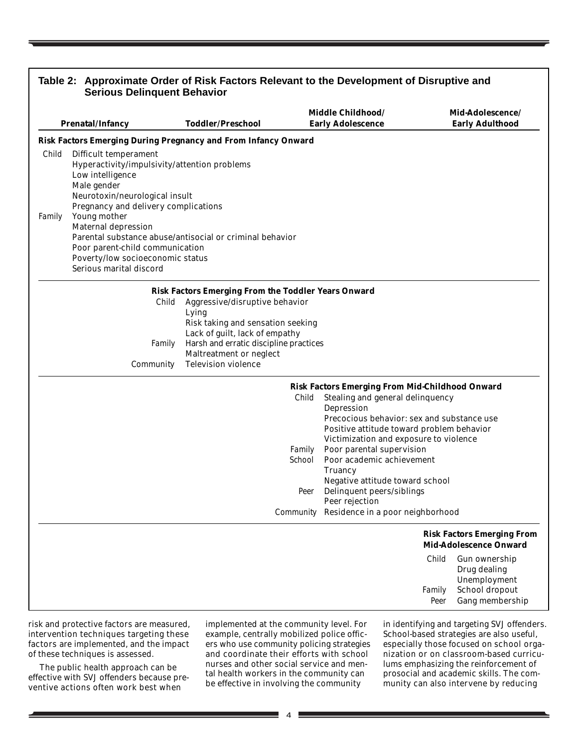|                 | <b>Prenatal/Infancy</b>                                                                                                                                                                                                                                                                                        | <b>Toddler/Preschool</b>                                                                                                                                                                                                                                                        | Middle Childhood/<br><b>Early Adolescence</b>                                                                                                                                                                                                 |                                                                    | Mid-Adolescence/<br><b>Early Adulthood</b>                                         |
|-----------------|----------------------------------------------------------------------------------------------------------------------------------------------------------------------------------------------------------------------------------------------------------------------------------------------------------------|---------------------------------------------------------------------------------------------------------------------------------------------------------------------------------------------------------------------------------------------------------------------------------|-----------------------------------------------------------------------------------------------------------------------------------------------------------------------------------------------------------------------------------------------|--------------------------------------------------------------------|------------------------------------------------------------------------------------|
|                 |                                                                                                                                                                                                                                                                                                                | <b>Risk Factors Emerging During Pregnancy and From Infancy Onward</b>                                                                                                                                                                                                           |                                                                                                                                                                                                                                               |                                                                    |                                                                                    |
| Child<br>Family | <b>Difficult temperament</b><br>Hyperactivity/impulsivity/attention problems<br>Low intelligence<br>Male gender<br>Neurotoxin/neurological insult<br>Pregnancy and delivery complications<br>Young mother<br><b>Maternal depression</b><br>Poor parent-child communication<br>Poverty/low socioeconomic status | Parental substance abuse/antisocial or criminal behavior                                                                                                                                                                                                                        |                                                                                                                                                                                                                                               |                                                                    |                                                                                    |
|                 | Serious marital discord                                                                                                                                                                                                                                                                                        |                                                                                                                                                                                                                                                                                 |                                                                                                                                                                                                                                               |                                                                    |                                                                                    |
|                 | Child<br>Family<br><b>Community</b>                                                                                                                                                                                                                                                                            | <b>Risk Factors Emerging From the Toddler Years Onward</b><br>Aggressive/disruptive behavior<br>Lying<br>Risk taking and sensation seeking<br>Lack of guilt, lack of empathy<br>Harsh and erratic discipline practices<br>Maltreatment or neglect<br><b>Television violence</b> |                                                                                                                                                                                                                                               |                                                                    |                                                                                    |
|                 |                                                                                                                                                                                                                                                                                                                | Child                                                                                                                                                                                                                                                                           | <b>Risk Factors Emerging From Mid-Childhood Onward</b><br>Stealing and general delinquency<br>Depression<br>Precocious behavior: sex and substance use<br>Positive attitude toward problem behavior<br>Victimization and exposure to violence |                                                                    |                                                                                    |
|                 |                                                                                                                                                                                                                                                                                                                | Family<br>School                                                                                                                                                                                                                                                                | Poor parental supervision<br>Poor academic achievement<br>Truancy<br>Negative attitude toward school                                                                                                                                          |                                                                    |                                                                                    |
|                 |                                                                                                                                                                                                                                                                                                                | Peer                                                                                                                                                                                                                                                                            | Delinquent peers/siblings                                                                                                                                                                                                                     |                                                                    |                                                                                    |
|                 |                                                                                                                                                                                                                                                                                                                | Community                                                                                                                                                                                                                                                                       | Peer rejection<br>Residence in a poor neighborhood                                                                                                                                                                                            |                                                                    |                                                                                    |
|                 |                                                                                                                                                                                                                                                                                                                |                                                                                                                                                                                                                                                                                 |                                                                                                                                                                                                                                               | <b>Risk Factors Emerging From</b><br><b>Mid-Adolescence Onward</b> |                                                                                    |
|                 |                                                                                                                                                                                                                                                                                                                |                                                                                                                                                                                                                                                                                 |                                                                                                                                                                                                                                               | Child<br>Family<br>Peer                                            | Gun ownership<br>Drug dealing<br>Unemployment<br>School dropout<br>Gang membership |

risk and protective factors are measured, intervention techniques targeting these factors are implemented, and the impact of these techniques is assessed.

The public health approach can be effective with SVJ offenders because preventive actions often work best when

implemented at the community level. For example, centrally mobilized police officers who use community policing strategies and coordinate their efforts with school nurses and other social service and mental health workers in the community can be effective in involving the community

in identifying and targeting SVJ offenders. School-based strategies are also useful, especially those focused on school organization or on classroom-based curriculums emphasizing the reinforcement of prosocial and academic skills. The community can also intervene by reducing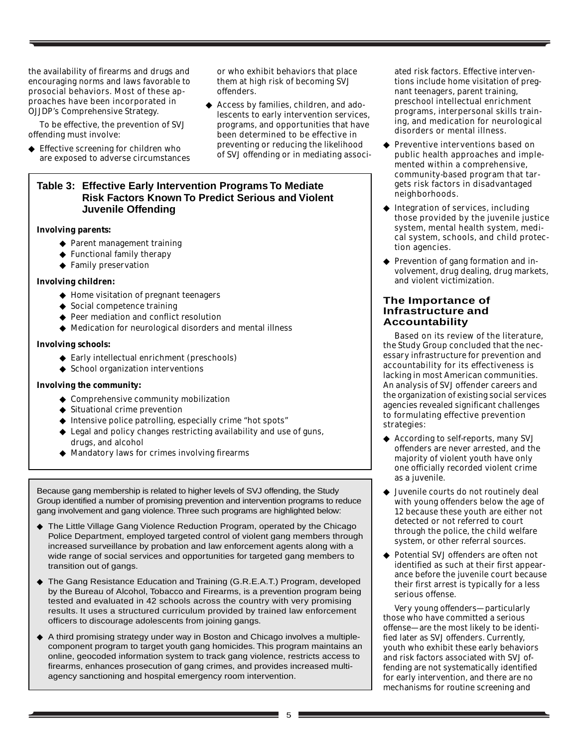the availability of firearms and drugs and encouraging norms and laws favorable to prosocial behaviors. Most of these approaches have been incorporated in OJJDP's Comprehensive Strategy.

To be effective, the prevention of SVJ offending must involve:

◆ Effective screening for children who are exposed to adverse circumstances or who exhibit behaviors that place them at high risk of becoming SVJ offenders.

◆ Access by families, children, and adolescents to early intervention services, programs, and opportunities that have been determined to be effective in preventing or reducing the likelihood of SVJ offending or in mediating associ-

#### **Table 3: Effective Early Intervention Programs To Mediate Risk Factors Known To Predict Serious and Violent Juvenile Offending**

#### **Involving parents:**

- ◆ Parent management training
- ◆ Functional family therapy
- ◆ Family preservation

#### **Involving children:**

- ◆ Home visitation of pregnant teenagers
- ◆ Social competence training
- ◆ Peer mediation and conflict resolution
- ◆ Medication for neurological disorders and mental illness

#### **Involving schools:**

- ◆ Early intellectual enrichment (preschools)
- ◆ School organization interventions

#### **Involving the community:**

- ◆ Comprehensive community mobilization
- ◆ Situational crime prevention
- ◆ Intensive police patrolling, especially crime "hot spots"
- ◆ Legal and policy changes restricting availability and use of guns, drugs, and alcohol
- ◆ Mandatory laws for crimes involving firearms

Because gang membership is related to higher levels of SVJ offending, the Study Group identified a number of promising prevention and intervention programs to reduce gang involvement and gang violence. Three such programs are highlighted below:

- ◆ The Little Village Gang Violence Reduction Program, operated by the Chicago Police Department, employed targeted control of violent gang members through increased surveillance by probation and law enforcement agents along with a wide range of social services and opportunities for targeted gang members to transition out of gangs.
- ◆ The Gang Resistance Education and Training (G.R.E.A.T.) Program, developed by the Bureau of Alcohol, Tobacco and Firearms, is a prevention program being tested and evaluated in 42 schools across the country with very promising results. It uses a structured curriculum provided by trained law enforcement officers to discourage adolescents from joining gangs.
- ◆ A third promising strategy under way in Boston and Chicago involves a multiplecomponent program to target youth gang homicides. This program maintains an online, geocoded information system to track gang violence, restricts access to firearms, enhances prosecution of gang crimes, and provides increased multiagency sanctioning and hospital emergency room intervention.

ated risk factors. Effective interventions include home visitation of pregnant teenagers, parent training, preschool intellectual enrichment programs, interpersonal skills training, and medication for neurological disorders or mental illness.

- ◆ Preventive interventions based on public health approaches and implemented within a comprehensive, community-based program that targets risk factors in disadvantaged neighborhoods.
- ◆ Integration of services, including those provided by the juvenile justice system, mental health system, medical system, schools, and child protection agencies.
- ◆ Prevention of gang formation and involvement, drug dealing, drug markets, and violent victimization.

#### **The Importance of Infrastructure and Accountability**

Based on its review of the literature, the Study Group concluded that the necessary infrastructure for prevention and accountability for its effectiveness is lacking in most American communities. An analysis of SVJ offender careers and the organization of existing social services agencies revealed significant challenges to formulating effective prevention strategies:

- ◆ According to self-reports, many SVJ offenders are never arrested, and the majority of violent youth have only one officially recorded violent crime as a juvenile.
- Juvenile courts do not routinely deal with young offenders below the age of 12 because these youth are either not detected or not referred to court through the police, the child welfare system, or other referral sources.
- Potential SVJ offenders are often not identified as such at their first appearance before the juvenile court because their first arrest is typically for a less serious offense.

Very young offenders—particularly those who have committed a serious offense—are the most likely to be identified later as SVJ offenders. Currently, youth who exhibit these early behaviors and risk factors associated with SVJ offending are not systematically identified for early intervention, and there are no mechanisms for routine screening and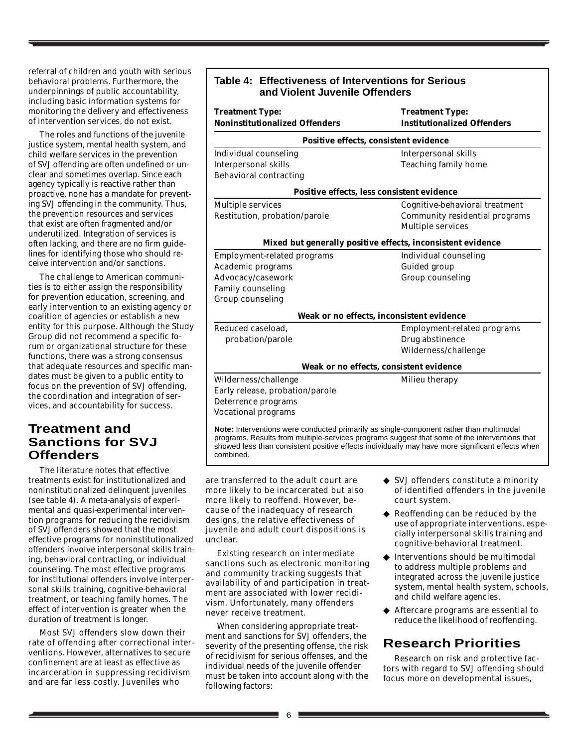referral of children and youth with serious behavioral problems. Furthermore, the underpinnings of public accountability, including basic information systems for monitoring the delivery and effectiveness of intervention services, do not exist.

The roles and functions of the juvenile justice system, mental health system, and child welfare services in the prevention of SVJ offending are often undefined or unclear and sometimes overlap. Since each agency typically is reactive rather than proactive, none has a mandate for preventing SVJ offending in the community. Thus, the prevention resources and services that exist are often fragmented and/or underutilized. Integration of services is often lacking, and there are no firm guidelines for identifying those who should receive intervention and/or sanctions.

The challenge to American communities is to either assign the responsibility for prevention education, screening, and early intervention to an existing agency or coalition of agencies or establish a new entity for this purpose. Although the Study Group did not recommend a specific forum or organizational structure for these functions, there was a strong consensus that adequate resources and specific mandates must be given to a public entity to focus on the prevention of SVJ offending, the coordination and integration of services, and accountability for success.

#### **Treatment and Sanctions for SVJ Offenders**

The literature notes that effective treatments exist for institutionalized and noninstitutionalized delinquent juveniles (see table 4). A meta-analysis of experimental and quasi-experimental intervention programs for reducing the recidivism of SVJ offenders showed that the most effective programs for noninstitutionalized offenders involve interpersonal skills training, behavioral contracting, or individual counseling. The most effective programs for institutional offenders involve interpersonal skills training, cognitive-behavioral treatment, or teaching family homes. The effect of intervention is greater when the duration of treatment is longer.

Most SVJ offenders slow down their rate of offending after correctional interventions. However, alternatives to secure confinement are at least as effective as incarceration in suppressing recidivism and are far less costly. Juveniles who

| <b>Treatment Type:</b>                | <b>Treatment Type:</b><br><b>Institutionalized Offenders</b> |  |  |
|---------------------------------------|--------------------------------------------------------------|--|--|
| <b>Noninstitutionalized Offenders</b> |                                                              |  |  |
|                                       | Positive effects, consistent evidence                        |  |  |
| <b>Individual counseling</b>          | <b>Interpersonal skills</b>                                  |  |  |
| <b>Interpersonal skills</b>           | <b>Teaching family home</b>                                  |  |  |
| <b>Behavioral contracting</b>         |                                                              |  |  |
|                                       | Positive effects, less consistent evidence                   |  |  |
| <b>Multiple services</b>              | Cognitive-behavioral treatment                               |  |  |
| Restitution, probation/parole         | <b>Community residential programs</b>                        |  |  |
|                                       | <b>Multiple services</b>                                     |  |  |
|                                       | Mixed but generally positive effects, inconsistent evidence  |  |  |
| <b>Employment-related programs</b>    | <b>Individual counseling</b>                                 |  |  |
| Academic programs                     | <b>Guided group</b>                                          |  |  |
| Advocacy/casework                     | <b>Group counseling</b>                                      |  |  |
| <b>Family counseling</b>              |                                                              |  |  |
| <b>Group counseling</b>               |                                                              |  |  |
|                                       | Weak or no effects, inconsistent evidence                    |  |  |
| Reduced caseload,                     | Employment-related programs                                  |  |  |
| probation/parole                      | Drug abstinence                                              |  |  |
|                                       | Wilderness/challenge                                         |  |  |
|                                       | Weak or no effects, consistent evidence                      |  |  |
| Wilderness/challenge                  | Milieu therapy                                               |  |  |
| Early release, probation/parole       |                                                              |  |  |
| Deterrence programs                   |                                                              |  |  |
| <b>Vocational programs</b>            |                                                              |  |  |

showed less than consistent positive effects individually may have more significant effects when

are transferred to the adult court are more likely to be incarcerated but also more likely to reoffend. However, because of the inadequacy of research designs, the relative effectiveness of juvenile and adult court dispositions is unclear.

combined.

Existing research on intermediate sanctions such as electronic monitoring and community tracking suggests that availability of and participation in treatment are associated with lower recidivism. Unfortunately, many offenders never receive treatment.

When considering appropriate treatment and sanctions for SVJ offenders, the severity of the presenting offense, the risk of recidivism for serious offenses, and the individual needs of the juvenile offender must be taken into account along with the following factors:

- ◆ SVJ offenders constitute a minority of identified offenders in the juvenile court system.
- ◆ Reoffending can be reduced by the use of appropriate interventions, especially interpersonal skills training and cognitive-behavioral treatment.
- ◆ Interventions should be multimodal to address multiple problems and integrated across the juvenile justice system, mental health system, schools, and child welfare agencies.
- ◆ Aftercare programs are essential to reduce the likelihood of reoffending.

## **Research Priorities**

Research on risk and protective factors with regard to SVJ offending should focus more on developmental issues,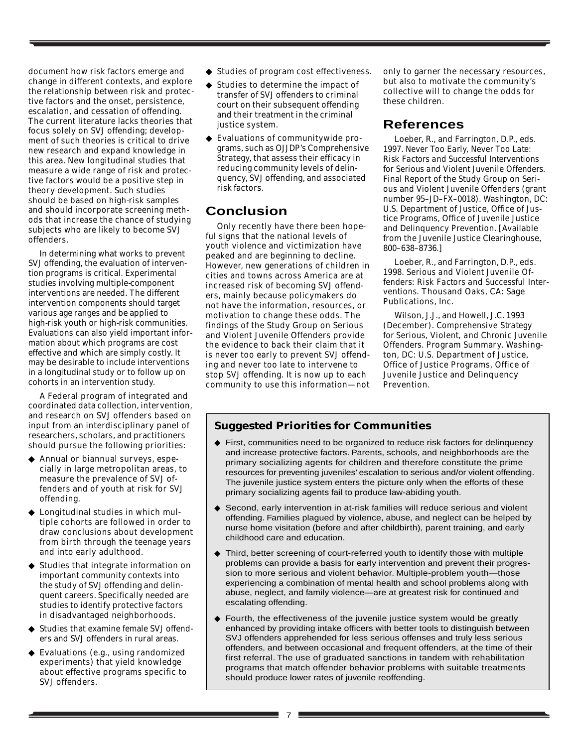document how risk factors emerge and change in different contexts, and explore the relationship between risk and protective factors and the onset, persistence, escalation, and cessation of offending. The current literature lacks theories that focus solely on SVJ offending; development of such theories is critical to drive new research and expand knowledge in this area. New longitudinal studies that measure a wide range of risk and protective factors would be a positive step in theory development. Such studies should be based on high-risk samples and should incorporate screening methods that increase the chance of studying subjects who are likely to become SVJ offenders.

In determining what works to prevent SVJ offending, the evaluation of intervention programs is critical. Experimental studies involving multiple-component interventions are needed. The different intervention components should target various age ranges and be applied to high-risk youth or high-risk communities. Evaluations can also yield important information about which programs are cost effective and which are simply costly. It may be desirable to include interventions in a longitudinal study or to follow up on cohorts in an intervention study.

A Federal program of integrated and coordinated data collection, intervention, and research on SVJ offenders based on input from an interdisciplinary panel of researchers, scholars, and practitioners should pursue the following priorities:

- ◆ Annual or biannual surveys, especially in large metropolitan areas, to measure the prevalence of SVJ offenders and of youth at risk for SVJ offending.
- ◆ Longitudinal studies in which multiple cohorts are followed in order to draw conclusions about development from birth through the teenage years and into early adulthood.
- Studies that integrate information on important community contexts into the study of SVJ offending and delinquent careers. Specifically needed are studies to identify protective factors in disadvantaged neighborhoods.
- ◆ Studies that examine female SVJ offenders and SVJ offenders in rural areas.
- ◆ Evaluations (e.g., using randomized experiments) that yield knowledge about effective programs specific to SVJ offenders.
- ◆ Studies of program cost effectiveness.
- ◆ Studies to determine the impact of transfer of SVJ offenders to criminal court on their subsequent offending and their treatment in the criminal justice system.
- ◆ Evaluations of communitywide programs, such as OJJDP's Comprehensive Strategy, that assess their efficacy in reducing community levels of delinquency, SVJ offending, and associated risk factors.

### **Conclusion**

Only recently have there been hopeful signs that the national levels of youth violence and victimization have peaked and are beginning to decline. However, new generations of children in cities and towns across America are at increased risk of becoming SVJ offenders, mainly because policymakers do not have the information, resources, or motivation to change these odds. The findings of the Study Group on Serious and Violent Juvenile Offenders provide the evidence to back their claim that it is never too early to prevent SVJ offending and never too late to intervene to stop SVJ offending. It is now up to each community to use this information—not only to garner the necessary resources, but also to motivate the community's collective will to change the odds for these children.

#### **References**

Loeber, R., and Farrington, D.P., eds. 1997. *Never Too Early, Never Too Late: Risk Factors and Successful Interventions for Serious and Violent Juvenile Offenders.* Final Report of the Study Group on Serious and Violent Juvenile Offenders (grant number 95–JD–FX–0018). Washington, DC: U.S. Department of Justice, Office of Justice Programs, Office of Juvenile Justice and Delinquency Prevention. [Available from the Juvenile Justice Clearinghouse, 800–638–8736.]

Loeber, R., and Farrington, D.P., eds. 1998. *Serious and Violent Juvenile Offenders: Risk Factors and Successful Interventions.* Thousand Oaks, CA: Sage Publications, Inc.

Wilson, J.J., and Howell, J.C. 1993 (December). *Comprehensive Strategy for Serious, Violent, and Chronic Juvenile Offenders.* Program Summary. Washington, DC: U.S. Department of Justice, Office of Justice Programs, Office of Juvenile Justice and Delinquency Prevention.

#### **Suggested Priorities for Communities**

- ◆ First, communities need to be organized to reduce risk factors for delinquency and increase protective factors. Parents, schools, and neighborhoods are the primary socializing agents for children and therefore constitute the prime resources for preventing juveniles' escalation to serious and/or violent offending. The juvenile justice system enters the picture only when the efforts of these primary socializing agents fail to produce law-abiding youth.
- ◆ Second, early intervention in at-risk families will reduce serious and violent offending. Families plagued by violence, abuse, and neglect can be helped by nurse home visitation (before and after childbirth), parent training, and early childhood care and education.
- ◆ Third, better screening of court-referred youth to identify those with multiple problems can provide a basis for early intervention and prevent their progression to more serious and violent behavior. Multiple-problem youth—those experiencing a combination of mental health and school problems along with abuse, neglect, and family violence—are at greatest risk for continued and escalating offending.
- ◆ Fourth, the effectiveness of the juvenile justice system would be greatly enhanced by providing intake officers with better tools to distinguish between SVJ offenders apprehended for less serious offenses and truly less serious offenders, and between occasional and frequent offenders, at the time of their first referral. The use of graduated sanctions in tandem with rehabilitation programs that match offender behavior problems with suitable treatments should produce lower rates of juvenile reoffending.